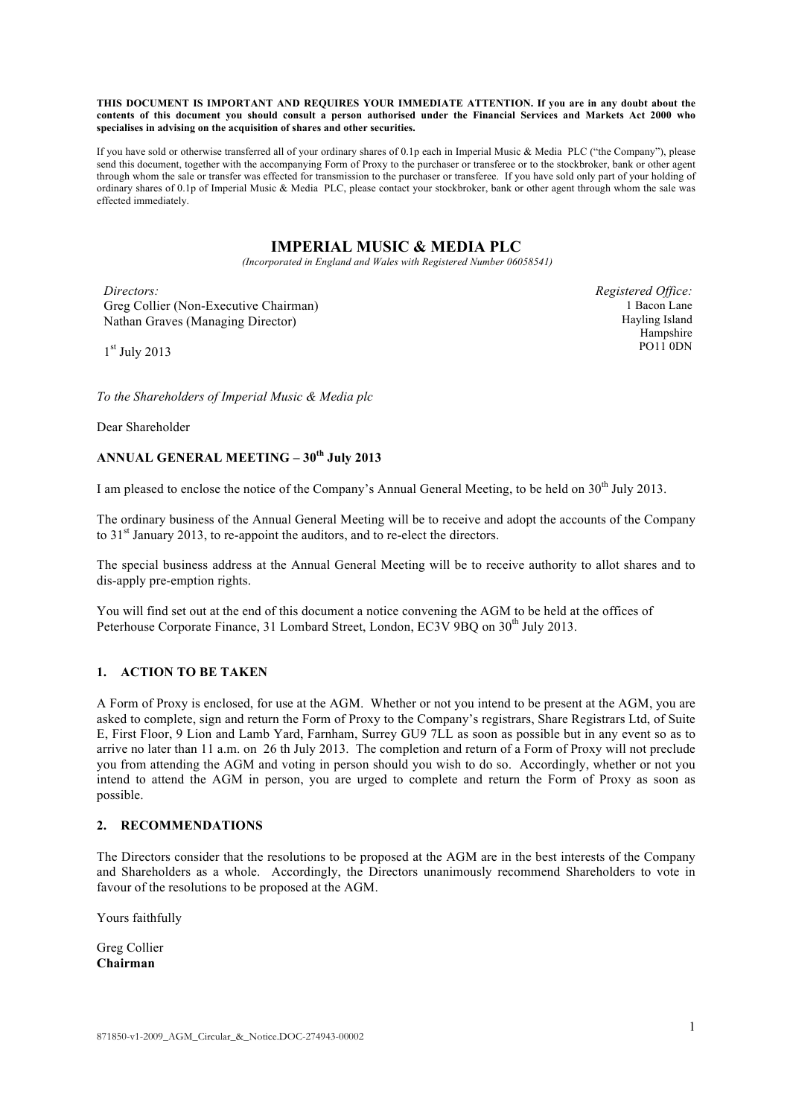**THIS DOCUMENT IS IMPORTANT AND REQUIRES YOUR IMMEDIATE ATTENTION. If you are in any doubt about the contents of this document you should consult a person authorised under the Financial Services and Markets Act 2000 who specialises in advising on the acquisition of shares and other securities.**

If you have sold or otherwise transferred all of your ordinary shares of 0.1p each in Imperial Music & Media PLC ("the Company"), please send this document, together with the accompanying Form of Proxy to the purchaser or transferee or to the stockbroker, bank or other agent through whom the sale or transfer was effected for transmission to the purchaser or transferee. If you have sold only part of your holding of ordinary shares of 0.1p of Imperial Music & Media PLC, please contact your stockbroker, bank or other agent through whom the sale was effected immediately.

# **IMPERIAL MUSIC & MEDIA PLC**

*(Incorporated in England and Wales with Registered Number 06058541)*

*Directors:* Greg Collier (Non-Executive Chairman) Nathan Graves (Managing Director)

*Registered Office:* 1 Bacon Lane Hayling Island Hampshire PO11 0DN

 $1<sup>st</sup>$  July 2013

*To the Shareholders of Imperial Music & Media plc*

Dear Shareholder

## **ANNUAL GENERAL MEETING – 30th July 2013**

I am pleased to enclose the notice of the Company's Annual General Meeting, to be held on 30<sup>th</sup> July 2013.

The ordinary business of the Annual General Meeting will be to receive and adopt the accounts of the Company to  $31<sup>st</sup>$  January 2013, to re-appoint the auditors, and to re-elect the directors.

The special business address at the Annual General Meeting will be to receive authority to allot shares and to dis-apply pre-emption rights.

You will find set out at the end of this document a notice convening the AGM to be held at the offices of Peterhouse Corporate Finance, 31 Lombard Street, London, EC3V 9BQ on 30<sup>th</sup> July 2013.

#### **1. ACTION TO BE TAKEN**

A Form of Proxy is enclosed, for use at the AGM. Whether or not you intend to be present at the AGM, you are asked to complete, sign and return the Form of Proxy to the Company's registrars, Share Registrars Ltd, of Suite E, First Floor, 9 Lion and Lamb Yard, Farnham, Surrey GU9 7LL as soon as possible but in any event so as to arrive no later than 11 a.m. on 26 th July 2013. The completion and return of a Form of Proxy will not preclude you from attending the AGM and voting in person should you wish to do so. Accordingly, whether or not you intend to attend the AGM in person, you are urged to complete and return the Form of Proxy as soon as possible.

#### **2. RECOMMENDATIONS**

The Directors consider that the resolutions to be proposed at the AGM are in the best interests of the Company and Shareholders as a whole. Accordingly, the Directors unanimously recommend Shareholders to vote in favour of the resolutions to be proposed at the AGM.

Yours faithfully

Greg Collier **Chairman**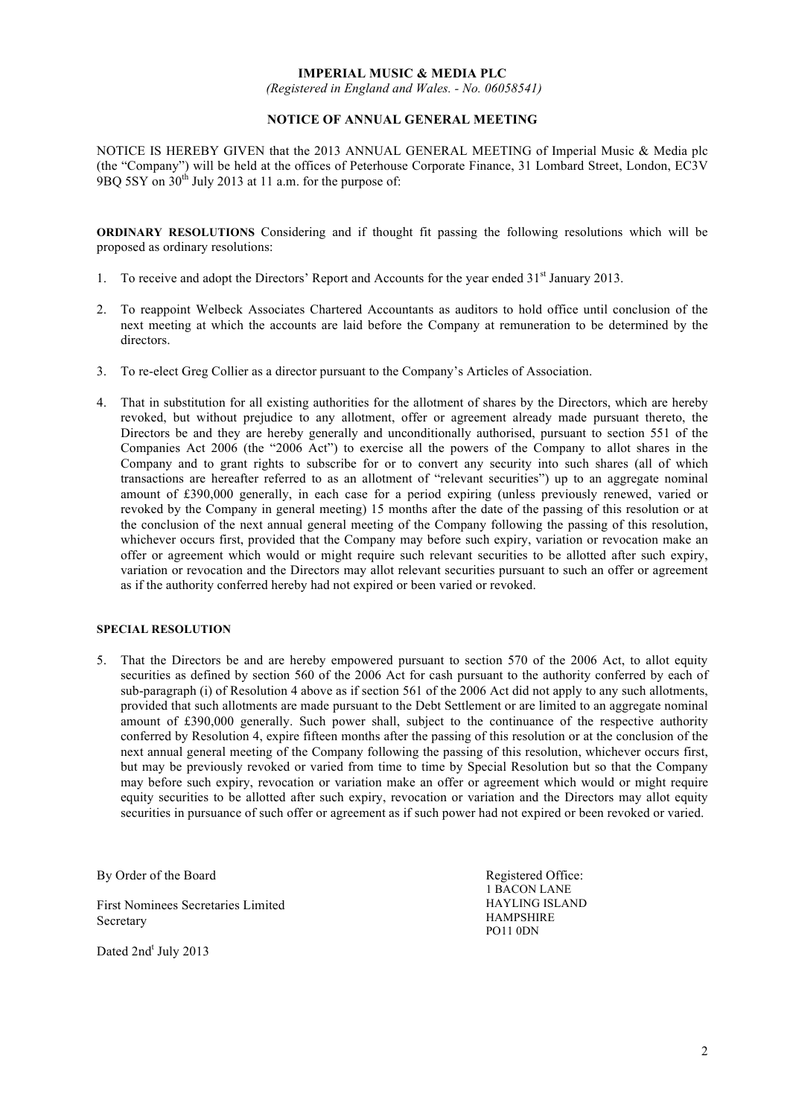#### **IMPERIAL MUSIC & MEDIA PLC**

*(Registered in England and Wales. - No. 06058541)*

#### **NOTICE OF ANNUAL GENERAL MEETING**

NOTICE IS HEREBY GIVEN that the 2013 ANNUAL GENERAL MEETING of Imperial Music & Media plc (the "Company") will be held at the offices of Peterhouse Corporate Finance, 31 Lombard Street, London, EC3V  $9BO$  5SY on  $30<sup>th</sup>$  July 2013 at 11 a.m. for the purpose of:

**ORDINARY RESOLUTIONS** Considering and if thought fit passing the following resolutions which will be proposed as ordinary resolutions:

- 1. To receive and adopt the Directors' Report and Accounts for the year ended 31<sup>st</sup> January 2013.
- 2. To reappoint Welbeck Associates Chartered Accountants as auditors to hold office until conclusion of the next meeting at which the accounts are laid before the Company at remuneration to be determined by the directors.
- 3. To re-elect Greg Collier as a director pursuant to the Company's Articles of Association.
- 4. That in substitution for all existing authorities for the allotment of shares by the Directors, which are hereby revoked, but without prejudice to any allotment, offer or agreement already made pursuant thereto, the Directors be and they are hereby generally and unconditionally authorised, pursuant to section 551 of the Companies Act 2006 (the "2006 Act") to exercise all the powers of the Company to allot shares in the Company and to grant rights to subscribe for or to convert any security into such shares (all of which transactions are hereafter referred to as an allotment of "relevant securities") up to an aggregate nominal amount of £390,000 generally, in each case for a period expiring (unless previously renewed, varied or revoked by the Company in general meeting) 15 months after the date of the passing of this resolution or at the conclusion of the next annual general meeting of the Company following the passing of this resolution, whichever occurs first, provided that the Company may before such expiry, variation or revocation make an offer or agreement which would or might require such relevant securities to be allotted after such expiry, variation or revocation and the Directors may allot relevant securities pursuant to such an offer or agreement as if the authority conferred hereby had not expired or been varied or revoked.

#### **SPECIAL RESOLUTION**

5. That the Directors be and are hereby empowered pursuant to section 570 of the 2006 Act, to allot equity securities as defined by section 560 of the 2006 Act for cash pursuant to the authority conferred by each of sub-paragraph (i) of Resolution 4 above as if section 561 of the 2006 Act did not apply to any such allotments, provided that such allotments are made pursuant to the Debt Settlement or are limited to an aggregate nominal amount of £390,000 generally. Such power shall, subject to the continuance of the respective authority conferred by Resolution 4, expire fifteen months after the passing of this resolution or at the conclusion of the next annual general meeting of the Company following the passing of this resolution, whichever occurs first, but may be previously revoked or varied from time to time by Special Resolution but so that the Company may before such expiry, revocation or variation make an offer or agreement which would or might require equity securities to be allotted after such expiry, revocation or variation and the Directors may allot equity securities in pursuance of such offer or agreement as if such power had not expired or been revoked or varied.

By Order of the Board

First Nominees Secretaries Limited Secretary

Dated 2nd<sup>t</sup> July 2013

Registered Office: 1 BACON LANE HAYLING ISLAND HAMPSHIRE PO11 0DN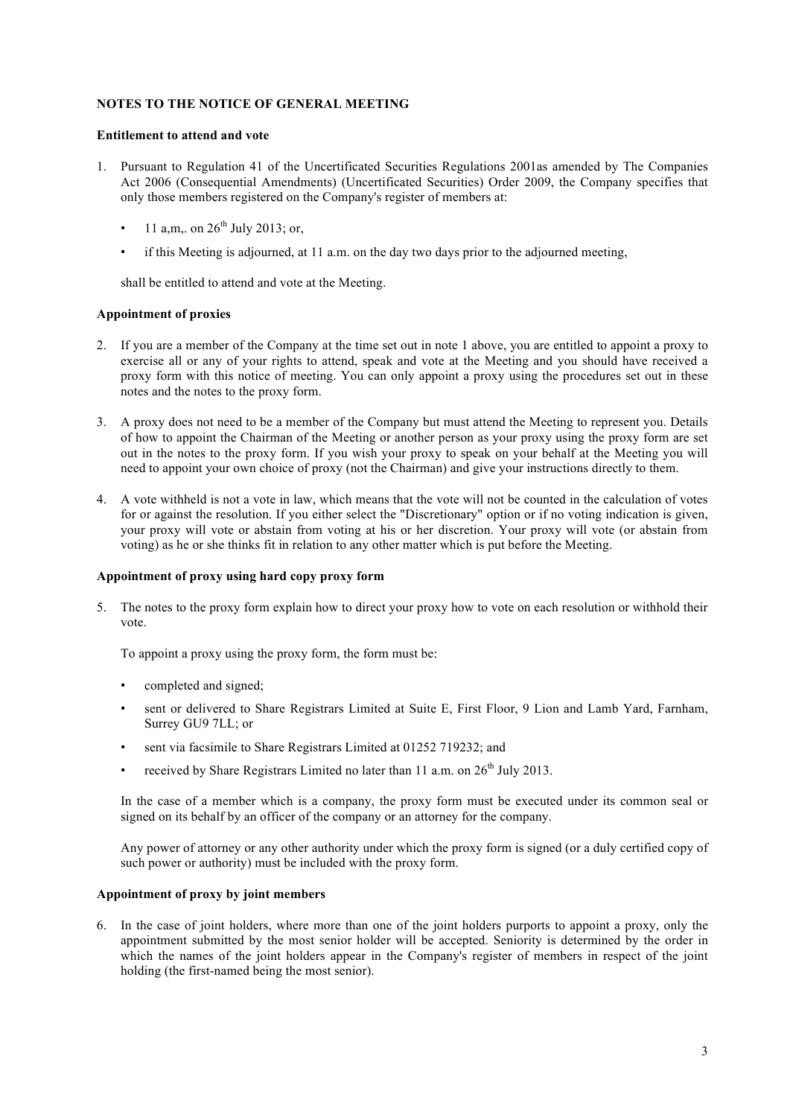### **NOTES TO THE NOTICE OF GENERAL MEETING**

#### **Entitlement to attend and vote**

- 1. Pursuant to Regulation 41 of the Uncertificated Securities Regulations 2001as amended by The Companies Act 2006 (Consequential Amendments) (Uncertificated Securities) Order 2009, the Company specifies that only those members registered on the Company's register of members at:
	- 11 a,m,, on  $26^{th}$  July 2013; or,
	- if this Meeting is adjourned, at 11 a.m. on the day two days prior to the adjourned meeting,

shall be entitled to attend and vote at the Meeting.

#### **Appointment of proxies**

- 2. If you are a member of the Company at the time set out in note 1 above, you are entitled to appoint a proxy to exercise all or any of your rights to attend, speak and vote at the Meeting and you should have received a proxy form with this notice of meeting. You can only appoint a proxy using the procedures set out in these notes and the notes to the proxy form.
- 3. A proxy does not need to be a member of the Company but must attend the Meeting to represent you. Details of how to appoint the Chairman of the Meeting or another person as your proxy using the proxy form are set out in the notes to the proxy form. If you wish your proxy to speak on your behalf at the Meeting you will need to appoint your own choice of proxy (not the Chairman) and give your instructions directly to them.
- 4. A vote withheld is not a vote in law, which means that the vote will not be counted in the calculation of votes for or against the resolution. If you either select the "Discretionary" option or if no voting indication is given, your proxy will vote or abstain from voting at his or her discretion. Your proxy will vote (or abstain from voting) as he or she thinks fit in relation to any other matter which is put before the Meeting.

#### **Appointment of proxy using hard copy proxy form**

5. The notes to the proxy form explain how to direct your proxy how to vote on each resolution or withhold their vote.

To appoint a proxy using the proxy form, the form must be:

- completed and signed;
- sent or delivered to Share Registrars Limited at Suite E, First Floor, 9 Lion and Lamb Yard, Farnham, Surrey GU9 7LL; or
- sent via facsimile to Share Registrars Limited at 01252 719232; and
- received by Share Registrars Limited no later than 11 a.m. on  $26<sup>th</sup>$  July 2013.

In the case of a member which is a company, the proxy form must be executed under its common seal or signed on its behalf by an officer of the company or an attorney for the company.

Any power of attorney or any other authority under which the proxy form is signed (or a duly certified copy of such power or authority) must be included with the proxy form.

#### **Appointment of proxy by joint members**

6. In the case of joint holders, where more than one of the joint holders purports to appoint a proxy, only the appointment submitted by the most senior holder will be accepted. Seniority is determined by the order in which the names of the joint holders appear in the Company's register of members in respect of the joint holding (the first-named being the most senior).